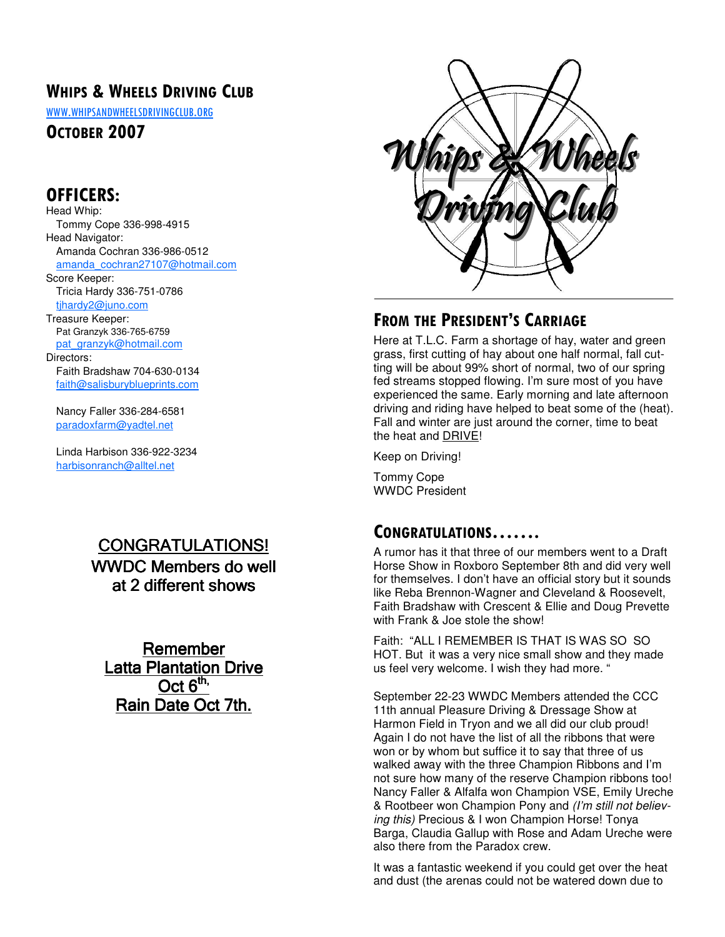## WHIPS & WHEELS DRIVING CLUB

WWW.WHIPSANDWHEELSDRIVINGCLUB.ORG

OCTOBER 2007

## OFFICERS:

Head Whip: Tommy Cope 336-998-4915 Head Navigator: Amanda Cochran 336-986-0512 amanda\_cochran27107@hotmail.com Score Keeper: Tricia Hardy 336-751-0786 tjhardy2@juno.com Treasure Keeper: Pat Granzyk 336-765-6759 pat\_granzyk@hotmail.com Directors: Faith Bradshaw 704-630-0134 faith@salisburyblueprints.com

 Nancy Faller 336-284-6581 paradoxfarm@yadtel.net

 Linda Harbison 336-922-3234 harbisonranch@alltel.net

# CONGRATULATIONS!

WWDC Members do well at 2 different shows

Remember Latta Plantation Drive  $Oct 6<sup>th</sup>$ Rain Date Oct 7th.



## FROM THE PRESIDENT'S CARRIAGE

Here at T.L.C. Farm a shortage of hay, water and green grass, first cutting of hay about one half normal, fall cutting will be about 99% short of normal, two of our spring fed streams stopped flowing. I'm sure most of you have experienced the same. Early morning and late afternoon driving and riding have helped to beat some of the (heat). Fall and winter are just around the corner, time to beat the heat and DRIVE!

Keep on Driving!

Tommy Cope WWDC President

## CONGRATULATIONS…….

A rumor has it that three of our members went to a Draft Horse Show in Roxboro September 8th and did very well for themselves. I don't have an official story but it sounds like Reba Brennon-Wagner and Cleveland & Roosevelt, Faith Bradshaw with Crescent & Ellie and Doug Prevette with Frank & Joe stole the show!

Faith: "ALL I REMEMBER IS THAT IS WAS SO SO HOT. But it was a very nice small show and they made us feel very welcome. I wish they had more. "

September 22-23 WWDC Members attended the CCC 11th annual Pleasure Driving & Dressage Show at Harmon Field in Tryon and we all did our club proud! Again I do not have the list of all the ribbons that were won or by whom but suffice it to say that three of us walked away with the three Champion Ribbons and I'm not sure how many of the reserve Champion ribbons too! Nancy Faller & Alfalfa won Champion VSE, Emily Ureche & Rootbeer won Champion Pony and (I'm still not believing this) Precious & I won Champion Horse! Tonya Barga, Claudia Gallup with Rose and Adam Ureche were also there from the Paradox crew.

It was a fantastic weekend if you could get over the heat and dust (the arenas could not be watered down due to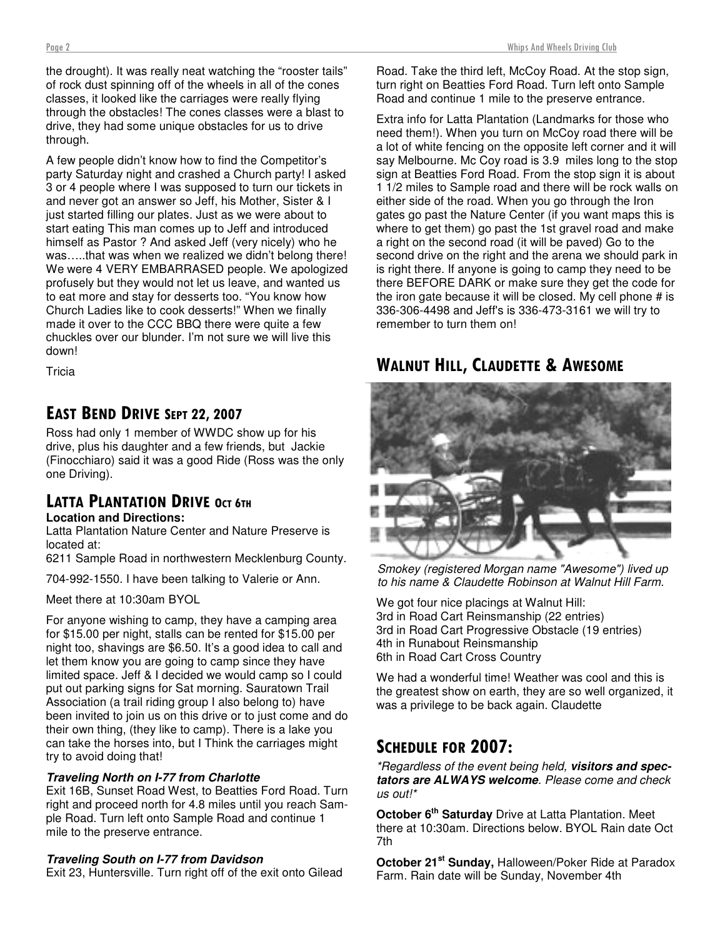the drought). It was really neat watching the "rooster tails" of rock dust spinning off of the wheels in all of the cones classes, it looked like the carriages were really flying through the obstacles! The cones classes were a blast to drive, they had some unique obstacles for us to drive through.

A few people didn't know how to find the Competitor's party Saturday night and crashed a Church party! I asked 3 or 4 people where I was supposed to turn our tickets in and never got an answer so Jeff, his Mother, Sister & I just started filling our plates. Just as we were about to start eating This man comes up to Jeff and introduced himself as Pastor ? And asked Jeff (very nicely) who he was…..that was when we realized we didn't belong there! We were 4 VERY EMBARRASED people. We apologized profusely but they would not let us leave, and wanted us to eat more and stay for desserts too. "You know how Church Ladies like to cook desserts!" When we finally made it over to the CCC BBQ there were quite a few chuckles over our blunder. I'm not sure we will live this down!

**Tricia** 

### EAST BEND DRIVE SEPT 22, 2007

Ross had only 1 member of WWDC show up for his drive, plus his daughter and a few friends, but Jackie (Finocchiaro) said it was a good Ride (Ross was the only one Driving).

# LATTA PLANTATION DRIVE <sup>O</sup>CT 6TH

### **Location and Directions:**

Latta Plantation Nature Center and Nature Preserve is located at:

6211 Sample Road in northwestern Mecklenburg County.

704-992-1550. I have been talking to Valerie or Ann.

Meet there at 10:30am BYOL

For anyone wishing to camp, they have a camping area for \$15.00 per night, stalls can be rented for \$15.00 per night too, shavings are \$6.50. It's a good idea to call and let them know you are going to camp since they have limited space. Jeff & I decided we would camp so I could put out parking signs for Sat morning. Sauratown Trail Association (a trail riding group I also belong to) have been invited to join us on this drive or to just come and do their own thing, (they like to camp). There is a lake you can take the horses into, but I Think the carriages might try to avoid doing that!

#### **Traveling North on I-77 from Charlotte**

Exit 16B, Sunset Road West, to Beatties Ford Road. Turn right and proceed north for 4.8 miles until you reach Sample Road. Turn left onto Sample Road and continue 1 mile to the preserve entrance.

#### **Traveling South on I-77 from Davidson**

Exit 23, Huntersville. Turn right off of the exit onto Gilead

Road. Take the third left, McCoy Road. At the stop sign, turn right on Beatties Ford Road. Turn left onto Sample Road and continue 1 mile to the preserve entrance.

Extra info for Latta Plantation (Landmarks for those who need them!). When you turn on McCoy road there will be a lot of white fencing on the opposite left corner and it will say Melbourne. Mc Coy road is 3.9 miles long to the stop sign at Beatties Ford Road. From the stop sign it is about 1 1/2 miles to Sample road and there will be rock walls on either side of the road. When you go through the Iron gates go past the Nature Center (if you want maps this is where to get them) go past the 1st gravel road and make a right on the second road (it will be paved) Go to the second drive on the right and the arena we should park in is right there. If anyone is going to camp they need to be there BEFORE DARK or make sure they get the code for the iron gate because it will be closed. My cell phone # is 336-306-4498 and Jeff's is 336-473-3161 we will try to remember to turn them on!

### WALNUT HILL, CLAUDETTE & AWESOME



Smokey (registered Morgan name "Awesome") lived up to his name & Claudette Robinson at Walnut Hill Farm.

We got four nice placings at Walnut Hill: 3rd in Road Cart Reinsmanship (22 entries) 3rd in Road Cart Progressive Obstacle (19 entries) 4th in Runabout Reinsmanship 6th in Road Cart Cross Country

We had a wonderful time! Weather was cool and this is the greatest show on earth, they are so well organized, it was a privilege to be back again. Claudette

# SCHEDULE FOR 2007:

\*Regardless of the event being held, **visitors and spectators are ALWAYS welcome**. Please come and check us out!\*

**October 6th Saturday** Drive at Latta Plantation. Meet there at 10:30am. Directions below. BYOL Rain date Oct 7th

**October 21st Sunday,** Halloween/Poker Ride at Paradox Farm. Rain date will be Sunday, November 4th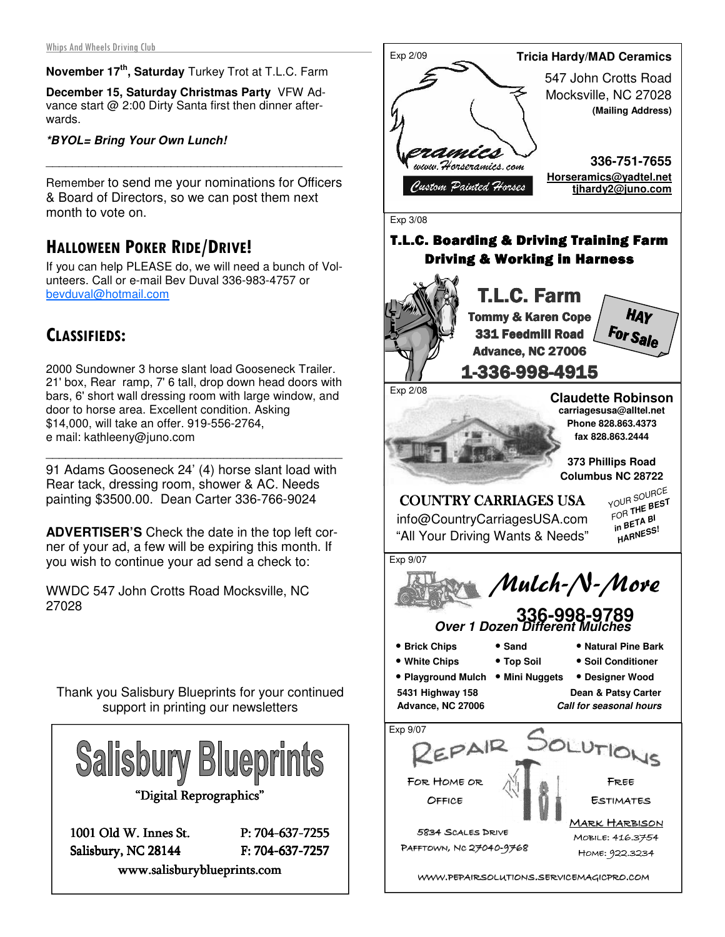### **November 17th, Saturday** Turkey Trot at T.L.C. Farm

**December 15, Saturday Christmas Party** VFW Advance start @ 2:00 Dirty Santa first then dinner afterwards.

#### **\*BYOL= Bring Your Own Lunch!**

Remember to send me your nominations for Officers & Board of Directors, so we can post them next month to vote on.

\_\_\_\_\_\_\_\_\_\_\_\_\_\_\_\_\_\_\_\_\_\_\_\_\_\_\_\_\_\_\_\_\_\_\_\_\_\_\_\_\_\_\_\_\_

## HALLOWEEN POKER RIDE/DRIVE!

If you can help PLEASE do, we will need a bunch of Volunteers. Call or e-mail Bev Duval 336-983-4757 or bevduval@hotmail.com

### CLASSIFIEDS:

2000 Sundowner 3 horse slant load Gooseneck Trailer. 21' box, Rear ramp, 7' 6 tall, drop down head doors with bars, 6' short wall dressing room with large window, and door to horse area. Excellent condition. Asking \$14,000, will take an offer. 919-556-2764, e mail: kathleeny@juno.com

91 Adams Gooseneck 24' (4) horse slant load with Rear tack, dressing room, shower & AC. Needs painting \$3500.00. Dean Carter 336-766-9024

\_\_\_\_\_\_\_\_\_\_\_\_\_\_\_\_\_\_\_\_\_\_\_\_\_\_\_\_\_\_\_\_\_\_\_\_\_\_\_\_\_\_\_\_\_

**ADVERTISER'S** Check the date in the top left corner of your ad, a few will be expiring this month. If you wish to continue your ad send a check to:

WWDC 547 John Crotts Road Mocksville, NC 27028

Thank you Salisbury Blueprints for your continued support in printing our newsletters



1001 Old W. Innes St. P: 704-637-7255 Salisbury, NC 28144 F: 704-637-7257 www.salisburyblueprints.com www.salisburyblueprints.com